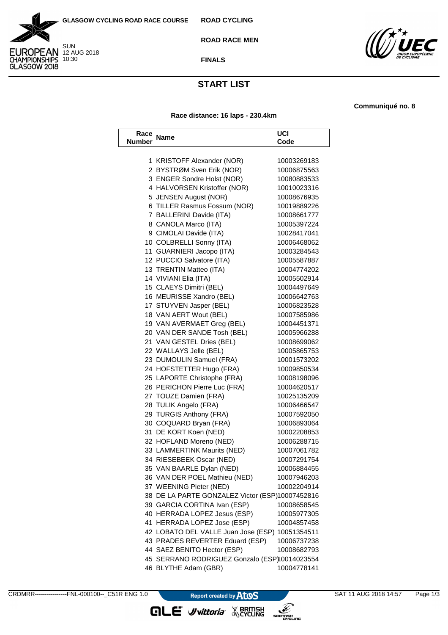



**ROAD RACE MEN**



**FINALS**

## **START LIST**

**Race distance: 16 laps - 230.4km**

**Communiqué no. 8**

| Race<br>Number | <b>Name</b>                                     | UCI<br>Code |
|----------------|-------------------------------------------------|-------------|
|                |                                                 |             |
|                | 1 KRISTOFF Alexander (NOR)                      | 10003269183 |
|                | 2 BYSTRØM Sven Erik (NOR)                       | 10006875563 |
|                | 3 ENGER Sondre Holst (NOR)                      | 10080883533 |
|                | 4 HALVORSEN Kristoffer (NOR)                    | 10010023316 |
|                | 5 JENSEN August (NOR)                           | 10008676935 |
|                | 6 TILLER Rasmus Fossum (NOR)                    | 10019889226 |
|                | 7 BALLERINI Davide (ITA)                        | 10008661777 |
|                | 8 CANOLA Marco (ITA)                            | 10005397224 |
|                | 9 CIMOLAI Davide (ITA)                          | 10028417041 |
|                | 10 COLBRELLI Sonny (ITA)                        | 10006468062 |
|                | 11 GUARNIERI Jacopo (ITA)                       | 10003284543 |
|                | 12 PUCCIO Salvatore (ITA)                       | 10005587887 |
|                | 13 TRENTIN Matteo (ITA)                         | 10004774202 |
|                | 14 VIVIANI Elia (ITA)                           | 10005502914 |
|                | 15 CLAEYS Dimitri (BEL)                         | 10004497649 |
|                | 16 MEURISSE Xandro (BEL)                        | 10006642763 |
|                | 17 STUYVEN Jasper (BEL)                         | 10006823528 |
|                | 18 VAN AERT Wout (BEL)                          | 10007585986 |
|                | 19 VAN AVERMAET Greg (BEL)                      | 10004451371 |
|                | 20 VAN DER SANDE Tosh (BEL)                     | 10005966288 |
|                | 21 VAN GESTEL Dries (BEL)                       | 10008699062 |
|                | 22 WALLAYS Jelle (BEL)                          | 10005865753 |
|                | 23 DUMOULIN Samuel (FRA)                        | 10001573202 |
|                | 24 HOFSTETTER Hugo (FRA)                        | 10009850534 |
|                | 25 LAPORTE Christophe (FRA)                     | 10008198096 |
|                | 26 PERICHON Pierre Luc (FRA)                    | 10004620517 |
|                | 27 TOUZE Damien (FRA)                           | 10025135209 |
|                | 28 TULIK Angelo (FRA)                           | 10006466547 |
|                | 29 TURGIS Anthony (FRA)                         | 10007592050 |
|                | 30 COQUARD Bryan (FRA)                          | 10006893064 |
|                | 31 DE KORT Koen (NED)                           | 10002208853 |
|                | 32 HOFLAND Moreno (NED)                         | 10006288715 |
|                | 33 LAMMERTINK Maurits (NED)                     | 10007061782 |
|                | 34 RIESEBEEK Oscar (NED)                        | 10007291754 |
|                | 35 VAN BAARLE Dylan (NED)                       | 10006884455 |
|                | 36 VAN DER POEL Mathieu (NED)                   | 10007946203 |
|                | 37 WEENING Pieter (NED)                         | 10002204914 |
|                | 38 DE LA PARTE GONZALEZ Victor (ESP)10007452816 |             |
|                | 39 GARCIA CORTINA Ivan (ESP)                    | 10008658545 |
|                | 40 HERRADA LOPEZ Jesus (ESP)                    | 10005977305 |
|                | 41 HERRADA LOPEZ Jose (ESP)                     | 10004857458 |
|                | 42 LOBATO DEL VALLE Juan Jose (ESP) 10051354511 |             |
|                | 43 PRADES REVERTER Eduard (ESP)                 | 10006737238 |
|                | 44 SAEZ BENITO Hector (ESP)                     | 10008682793 |
|                | 45 SERRANO RODRIGUEZ Gonzalo (ESP)10014023554   |             |
|                | 46 BLYTHE Adam (GBR)                            | 10004778141 |

**GLE** *Vittoria* WERITISH

SCOTTISHLING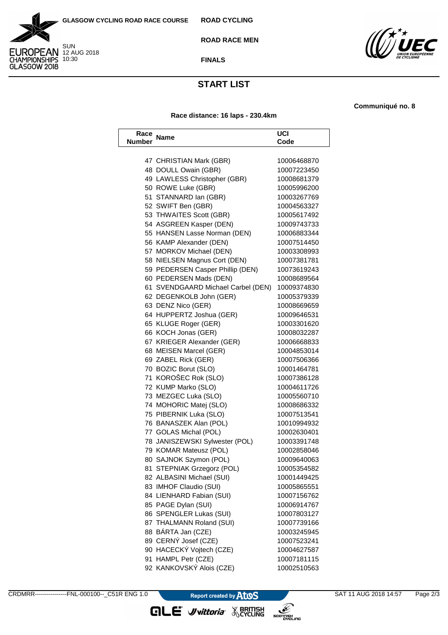



**ROAD RACE MEN**



**FINALS**

## **START LIST**

**Race distance: 16 laps - 230.4km**

**Communiqué no. 8**

| Race<br>Number | <b>Name</b>                        | UCI<br>Code |
|----------------|------------------------------------|-------------|
|                |                                    |             |
|                | 47 CHRISTIAN Mark (GBR)            | 10006468870 |
|                | 48 DOULL Owain (GBR)               | 10007223450 |
|                | 49 LAWLESS Christopher (GBR)       | 10008681379 |
|                | 50 ROWE Luke (GBR)                 | 10005996200 |
|                | 51 STANNARD Ian (GBR)              | 10003267769 |
|                | 52 SWIFT Ben (GBR)                 | 10004563327 |
|                | 53 THWAITES Scott (GBR)            | 10005617492 |
|                | 54 ASGREEN Kasper (DEN)            | 10009743733 |
|                | 55 HANSEN Lasse Norman (DEN)       | 10006883344 |
|                | 56 KAMP Alexander (DEN)            | 10007514450 |
|                | 57 MORKOV Michael (DEN)            | 10003308993 |
|                | 58 NIELSEN Magnus Cort (DEN)       | 10007381781 |
|                | 59 PEDERSEN Casper Phillip (DEN)   | 10073619243 |
|                | 60 PEDERSEN Mads (DEN)             | 10008689564 |
|                | 61 SVENDGAARD Michael Carbel (DEN) | 10009374830 |
|                | 62 DEGENKOLB John (GER)            | 10005379339 |
|                | 63 DENZ Nico (GER)                 | 10008669659 |
|                | 64 HUPPERTZ Joshua (GER)           | 10009646531 |
|                | 65 KLUGE Roger (GER)               | 10003301620 |
|                | 66 KOCH Jonas (GER)                | 10008032287 |
|                | 67 KRIEGER Alexander (GER)         | 10006668833 |
|                | 68 MEISEN Marcel (GER)             | 10004853014 |
|                | 69 ZABEL Rick (GER)                | 10007506366 |
|                | 70 BOZIC Borut (SLO)               | 10001464781 |
|                | 71 KOROŠEC Rok (SLO)               | 10007386128 |
|                | 72 KUMP Marko (SLO)                | 10004611726 |
|                | 73 MEZGEC Luka (SLO)               | 10005560710 |
|                | 74 MOHORIC Matej (SLO)             | 10008686332 |
|                | 75 PIBERNIK Luka (SLO)             | 10007513541 |
|                | 76 BANASZEK Alan (POL)             | 10010994932 |
|                | 77 GOLAS Michal (POL)              | 10002630401 |
|                | 78 JANISZEWSKI Sylwester (POL)     | 10003391748 |
|                | 79 KOMAR Mateusz (POL)             | 10002858046 |
|                | 80 SAJNOK Szymon (POL)             | 10009640063 |
|                | 81 STEPNIAK Grzegorz (POL)         | 10005354582 |
|                | 82 ALBASINI Michael (SUI)          | 10001449425 |
|                | 83 IMHOF Claudio (SUI)             | 10005865551 |
|                | 84 LIENHARD Fabian (SUI)           | 10007156762 |
|                | 85 PAGE Dylan (SUI)                | 10006914767 |
|                | 86 SPENGLER Lukas (SUI)            | 10007803127 |
|                | 87 THALMANN Roland (SUI)           | 10007739166 |
|                | 88 BÁRTA Jan (CZE)                 | 10003245945 |
|                | 89 CERNÝ Josef (CZE)               | 10007523241 |
|                | 90 HACECKÝ Vojtech (CZE)           | 10004627587 |
|                | 91 HAMPL Petr (CZE)                | 10007181115 |
|                | 92 KANKOVSKÝ Alois (CZE)           | 10002510563 |
|                |                                    |             |

**GLE** *Vittoria* WERITISH

SCOTTISHLING